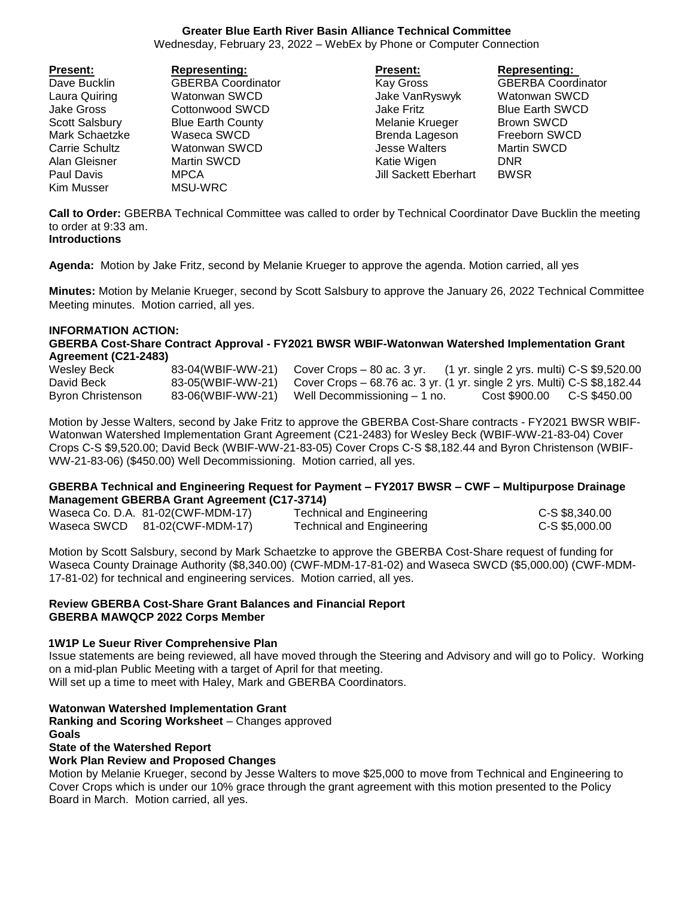## **Greater Blue Earth River Basin Alliance Technical Committee**

Wednesday, February 23, 2022 – WebEx by Phone or Computer Connection

| <b>Present:</b> | <b>Representing:</b>      | <b>Present:</b>              | <b>Representing:</b>      |
|-----------------|---------------------------|------------------------------|---------------------------|
| Dave Bucklin    | <b>GBERBA Coordinator</b> | Kay Gross                    | <b>GBERBA Coordinator</b> |
| Laura Quiring   | Watonwan SWCD             | Jake VanRyswyk               | Watonwan SWCD             |
| Jake Gross      | Cottonwood SWCD           | Jake Fritz                   | <b>Blue Earth SWCD</b>    |
| Scott Salsbury  | <b>Blue Earth County</b>  | Melanie Krueger              | <b>Brown SWCD</b>         |
| Mark Schaetzke  | Waseca SWCD               | Brenda Lageson               | Freeborn SWCD             |
| Carrie Schultz  | Watonwan SWCD             | <b>Jesse Walters</b>         | <b>Martin SWCD</b>        |
| Alan Gleisner   | Martin SWCD               | Katie Wigen                  | <b>DNR</b>                |
| Paul Davis      | <b>MPCA</b>               | <b>Jill Sackett Eberhart</b> | <b>BWSR</b>               |
| Kim Musser      | MSU-WRC                   |                              |                           |

**Call to Order:** GBERBA Technical Committee was called to order by Technical Coordinator Dave Bucklin the meeting to order at 9:33 am. **Introductions**

**Agenda:** Motion by Jake Fritz, second by Melanie Krueger to approve the agenda. Motion carried, all yes

**Minutes:** Motion by Melanie Krueger, second by Scott Salsbury to approve the January 26, 2022 Technical Committee Meeting minutes. Motion carried, all yes.

### **INFORMATION ACTION:**

**GBERBA Cost-Share Contract Approval - FY2021 BWSR WBIF-Watonwan Watershed Implementation Grant Agreement (C21-2483)**

| Wesley Beck       | 83-04(WBIF-WW-21) | Cover Crops – 80 ac. 3 yr. $(1 \text{ yr. single 2 yrs. multi}) C-S $9,520.00$             |                            |  |
|-------------------|-------------------|--------------------------------------------------------------------------------------------|----------------------------|--|
| David Beck        |                   | 83-05(WBIF-WW-21) Cover Crops – 68.76 ac. 3 yr. (1 yr. single 2 yrs. Multi) C-S \$8,182.44 |                            |  |
| Byron Christenson |                   | 83-06(WBIF-WW-21) Well Decommissioning – 1 no.                                             | Cost \$900.00 C-S \$450.00 |  |

Motion by Jesse Walters, second by Jake Fritz to approve the GBERBA Cost-Share contracts - FY2021 BWSR WBIF-Watonwan Watershed Implementation Grant Agreement (C21-2483) for Wesley Beck (WBIF-WW-21-83-04) Cover Crops C-S \$9,520.00; David Beck (WBIF-WW-21-83-05) Cover Crops C-S \$8,182.44 and Byron Christenson (WBIF-WW-21-83-06) (\$450.00) Well Decommissioning. Motion carried, all yes.

## **GBERBA Technical and Engineering Request for Payment – FY2017 BWSR – CWF – Multipurpose Drainage Management GBERBA Grant Agreement (C17-3714)**

| Waseca Co. D.A. 81-02(CWF-MDM-17) | <b>Technical and Engineering</b> | C-S \$8,340.00 |
|-----------------------------------|----------------------------------|----------------|
| Waseca SWCD 81-02(CWF-MDM-17)     | Technical and Engineering        | C-S \$5,000.00 |

Motion by Scott Salsbury, second by Mark Schaetzke to approve the GBERBA Cost-Share request of funding for Waseca County Drainage Authority (\$8,340.00) (CWF-MDM-17-81-02) and Waseca SWCD (\$5,000.00) (CWF-MDM-17-81-02) for technical and engineering services. Motion carried, all yes.

### **Review GBERBA Cost-Share Grant Balances and Financial Report GBERBA MAWQCP 2022 Corps Member**

### **1W1P Le Sueur River Comprehensive Plan**

Issue statements are being reviewed, all have moved through the Steering and Advisory and will go to Policy. Working on a mid-plan Public Meeting with a target of April for that meeting.

Will set up a time to meet with Haley, Mark and GBERBA Coordinators.

### **Watonwan Watershed Implementation Grant**

**Ranking and Scoring Worksheet** – Changes approved

# **Goals**

# **State of the Watershed Report**

### **Work Plan Review and Proposed Changes**

Motion by Melanie Krueger, second by Jesse Walters to move \$25,000 to move from Technical and Engineering to Cover Crops which is under our 10% grace through the grant agreement with this motion presented to the Policy Board in March. Motion carried, all yes.